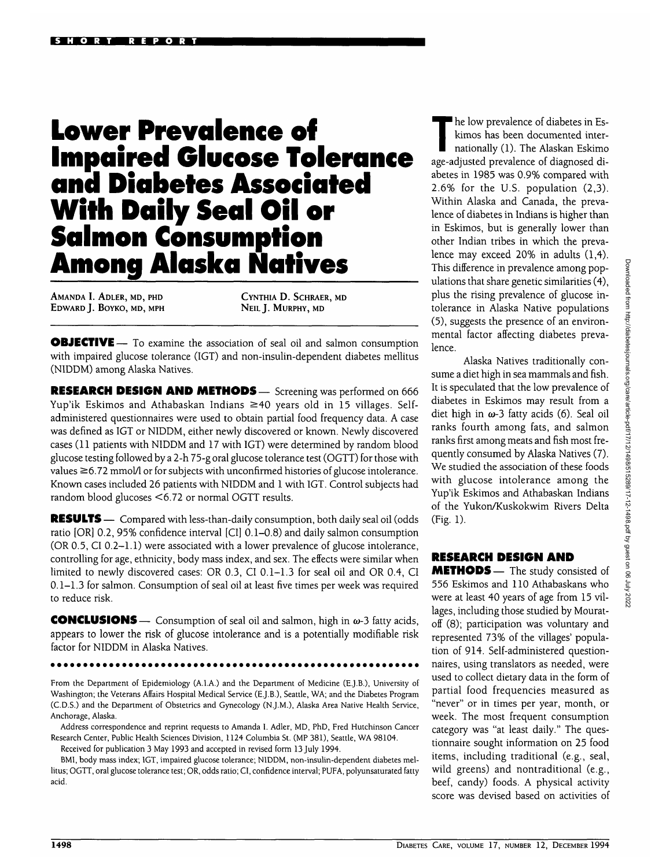## **Lower Prevalence of Impaired Glucose Tolerance and Diabetes Associated With Daily Seal Oil or Salmon Consumption Among Alaska Natives**

AMANDA I. ADLER, MD, PHD EDWARD J. BOYKO, MD, MPH CYNTHIA D. SCHRAER, MD NEIL J. MURPHY, MD

**OBJECTIVE** — To examine the association of seal oil and salmon consumption with impaired glucose tolerance (IGT) and non-insulin-dependent diabetes mellitus (NIDDM) among Alaska Natives.

RESEARCH DESIGN AND METHODS— Screening was performed on 666 Yup'ik Eskimos and Athabaskan Indians  $\geq$  40 years old in 15 villages. Selfadministered questionnaires were used to obtain partial food frequency data. A case was defined as IGT or NIDDM, either newly discovered or known. Newly discovered cases (11 patients with NIDDM and 17 with IGT) were determined by random blood glucose testing followed by a 2-h 75-g oral glucose tolerance test (OGTT) for those with values  $\geq$  6.72 mmol/1 or for subjects with unconfirmed histories of glucose intolerance. Known cases included 26 patients with NIDDM and 1 with IGT. Control subjects had random blood glucoses <6.72 or normal OGTT results.

RESULTS — Compared with less-than-daily consumption, both daily seal oil (odds ratio [OR] 0.2, 95% confidence interval [CI] 0.1-0.8) and daily salmon consumption (OR 0.5, CI 0.2–1.1) were associated with a lower prevalence of glucose intolerance, controlling for age, ethnicity, body mass index, and sex. The effects were similar when limited to newly discovered cases: OR 0.3, CI 0.1-1.3 for seal oil and OR 0.4, CI 0.1-1.3 for salmon. Consumption of seal oil at least five times per week was required to reduce risk.

**CONCLUSIONS** — Consumption of seal oil and salmon, high in  $\omega$ -3 fatty acids, appears to lower the risk of glucose intolerance and is a potentially modifiable risk factor for NIDDM in Alaska Natives.

From the Department of Epidemiology (A.I.A.) and the Department of Medicine (E.J.B.), University of Washington; the Veterans Affairs Hospital Medical Service (E.J.B.), Seattle, WA; and the Diabetes Program (C.D.S.) and the Department of Obstetrics and Gynecology (N.J.M.), Alaska Area Native Health Service, Anchorage, Alaska.

Address correspondence and reprint requests to Amanda I. Adler, MD, PhD, Fred Hutchinson Cancer Research Center, Public Health Sciences Division, 1124 Columbia St. (MP 381), Seattle, WA 98104.

Received for publication 3 May 1993 and accepted in revised form 13 July 1994.

BMI, body mass index; IGT, impaired glucose tolerance; NIDDM, non-insulin-dependent diabetes mellitus; OGTT, oral glucose tolerance test; OR, odds ratio; CI, confidence interval; PUFA, polyunsaturated fatty acid.

The low prevalence of diabetes in Eskimos has been documented inter-<br>nationally (1). The Alaskan Eskimo kimos has been documented interage-adjusted prevalence of diagnosed diabetes in 1985 was 0.9% compared with 2.6% for the U.S. population (2,3). Within Alaska and Canada, the prevalence of diabetes in Indians is higher than in Eskimos, but is generally lower than other Indian tribes in which the prevalence may exceed 20% in adults (1,4). This difference in prevalence among populations that share genetic similarities (4), plus the rising prevalence of glucose intolerance in Alaska Native populations (5), suggests the presence of an environmental factor affecting diabetes prevalence.

Alaska Natives traditionally consume a diet high in sea mammals and fish. It is speculated that the low prevalence of diabetes in Eskimos may result from a diet high in  $\omega$ -3 fatty acids (6). Seal oil ranks fourth among fats, and salmon ranks first among meats and fish most frequently consumed by Alaska Natives (7). We studied the association of these foods with glucose intolerance among the Yup'ik Eskimos and Athabaskan Indians of the Yukon/Kuskokwim Rivers Delta (Fig. 1).

## RESEARCH DESIGN AND

**METHODS** — The study consisted of 556 Eskimos and 110 Athabaskans who were at least 40 years of age from 15 villages, including those studied by Mouratoff (8); participation was voluntary and represented 73% of the villages' population of 914. Self-administered questionnaires, using translators as needed, were used to collect dietary data in the form of partial food frequencies measured as "never" or in times per year, month, or week. The most frequent consumption category was "at least daily." The questionnaire sought information on 25 food items, including traditional (e.g., seal, wild greens) and nontraditional (e.g., beef, candy) foods. A physical activity score was devised based on activities of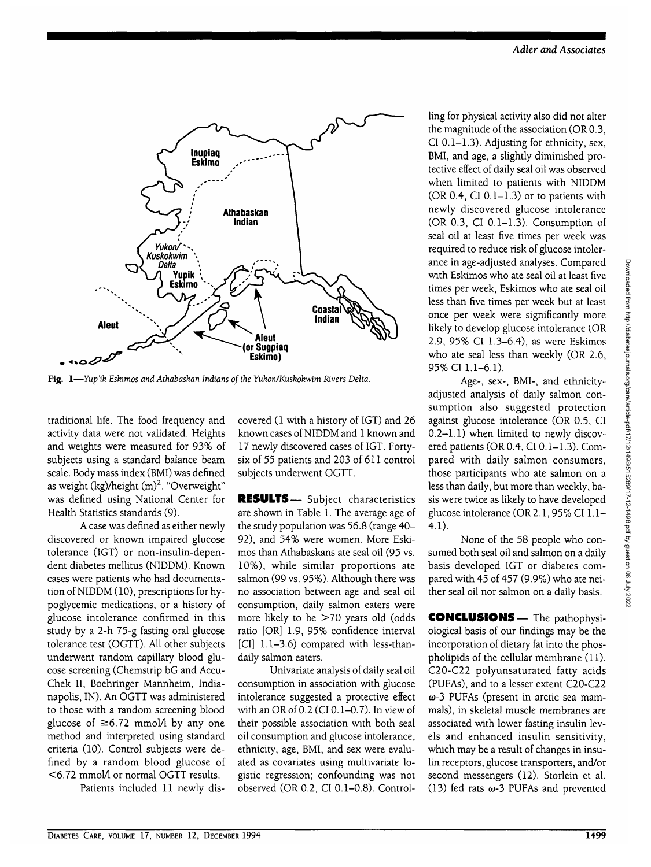

Fig. 1—*Yup'ik Eskimos and Athabaskan Indians oj the Yukon/Kuskokwim Rivers Delta.*

traditional life. The food frequency and activity data were not validated. Heights and weights were measured for 93% of subjects using a standard balance beam scale. Body mass index (BMI) was defined as weight (kg)/height (m)<sup>2</sup>. "Overweight" was defined using National Center for Health Statistics standards (9).

A case was defined as either newly discovered or known impaired glucose tolerance (IGT) or non-insulin-dependent diabetes mellitus (NIDDM). Known cases were patients who had documentation of NIDDM (10), prescriptions for hypoglycemic medications, or a history of glucose intolerance confirmed in this study by a 2-h 75-g fasting oral glucose tolerance test (OGTT). All other subjects underwent random capillary blood glucose screening (Chemstrip bG and Accu-Chek II, Boehringer Mannheim, Indianapolis, IN). An OGTT was administered to those with a random screening blood glucose of  $\geq 6.72$  mmol/l by any one method and interpreted using standard criteria (10). Control subjects were defined by a random blood glucose of <6.72 mmol/1 or normal OGTT results.

Patients included 11 newly dis-

covered (1 with a history of IGT) and 26 known cases of NIDDM and 1 known and 17 newly discovered cases of IGT. Fortysix of 55 patients and 203 of 611 control subjects underwent OGTT.

**RESULTS**— Subject characteristics are shown in Table 1. The average age of the study population was 56.8 (range 40- 92), and 54% were women. More Eskimos than Athabaskans ate seal oil (95 vs. 10%), while similar proportions ate salmon (99 vs. 95%). Although there was no association between age and seal oil consumption, daily salmon eaters were more likely to be >70 years old (odds ratio [OR] 1.9, 95% confidence interval [CI] 1.1-3.6) compared with less-thandaily salmon eaters.

Univariate analysis of daily seal oil consumption in association with glucose intolerance suggested a protective effect with an OR of 0.2 (CI 0.1-0.7). In view of their possible association with both seal oil consumption and glucose intolerance, ethnicity, age, BMI, and sex were evaluated as covariates using multivariate logistic regression; confounding was not observed (OR 0.2, CI 0.1-0.8). Controlling for physical activity also did not alter the magnitude of the association (OR 0.3, CI 0.1-1.3). Adjusting for ethnicity, sex, BMI, and age, a slightly diminished protective effect of daily seal oil was observed when limited to patients with NIDDM (OR  $0.4$ , CI  $0.1-1.3$ ) or to patients with newly discovered glucose intolerance (OR 0.3, CI 0.1-1.3). Consumption of seal oil at least five times per week was required to reduce risk of glucose intolerance in age-adjusted analyses. Compared with Eskimos who ate seal oil at least five times per week, Eskimos who ate seal oil less than five times per week but at least once per week were significantly more likely to develop glucose intolerance (OR 2.9, 95% CI 1.3-6.4), as were Eskimos who ate seal less than weekly (OR 2.6, 95% CI 1.1-6.1).

Age-, sex-, BMI-, and ethnicityadjusted analysis of daily salmon consumption also suggested protection against glucose intolerance (OR 0.5, CI 0.2-1.1) when limited to newly discovered patients (OR 0.4, CI 0.1-1.3). Compared with daily salmon consumers, those participants who ate salmon on a less than daily, but more than weekly, basis were twice as likely to have developed glucose intolerance (OR 2.1,95% CI 1.1- 4.1).

None of the 58 people who consumed both seal oil and salmon on a daily basis developed IGT or diabetes compared with 45 of 457 (9.9%) who ate neither seal oil nor salmon on a daily basis.

**CONCLUSIONS—** The pathophysiological basis of our findings may be the incorporation of dietary fat into the phospholipids of the cellular membrane (11). C20-C22 polyunsaturated fatty acids (PUFAs), and to a lesser extent C20-C22  $\omega$ -3 PUFAs (present in arctic sea mammals), in skeletal muscle membranes are associated with lower fasting insulin levels and enhanced insulin sensitivity, which may be a result of changes in insulin receptors, glucose transporters, and/or second messengers (12). Storlein et al. (13) fed rats  $\omega$ -3 PUFAs and prevented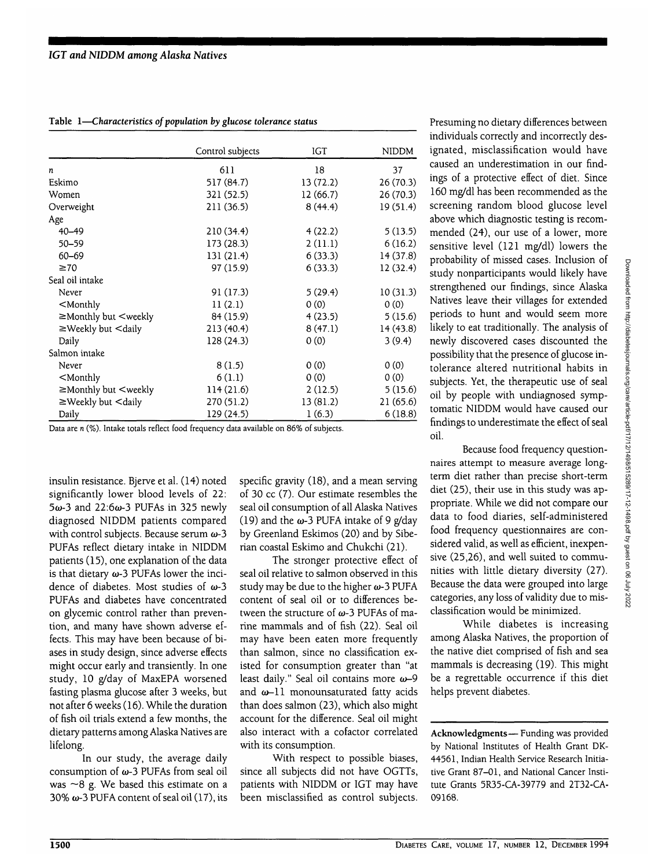|                                                                                          | Control subjects | IGT      | <b>NIDDM</b> |
|------------------------------------------------------------------------------------------|------------------|----------|--------------|
| n                                                                                        | 611              | 18       | 37           |
| Eskimo                                                                                   | 517 (84.7)       | 13(72.2) | 26 (70.3)    |
| Women                                                                                    | 321 (52.5)       | 12(66.7) | 26(70.3)     |
| Overweight                                                                               | 211 (36.5)       | 8(44.4)  | 19(51.4)     |
| Age                                                                                      |                  |          |              |
| 40-49                                                                                    | 210(34.4)        | 4(22.2)  | 5(13.5)      |
| $50 - 59$                                                                                | 173(28.3)        | 2(11.1)  | 6(16.2)      |
| 60-69                                                                                    | 131 (21.4)       | 6(33.3)  | 14 (37.8)    |
| $\geq 70$                                                                                | 97 (15.9)        | 6(33.3)  | 12(32.4)     |
| Seal oil intake                                                                          |                  |          |              |
| Never                                                                                    | 91(17.3)         | 5(29.4)  | 10(31.3)     |
| $<$ Monthly                                                                              | 11(2.1)          | 0(0)     | 0(0)         |
| ≥Monthly but <weekly< td=""><td>84 (15.9)</td><td>4(23.5)</td><td>5(15.6)</td></weekly<> | 84 (15.9)        | 4(23.5)  | 5(15.6)      |
| $\geq$ Weekly but $\leq$ daily                                                           | 213 (40.4)       | 8(47.1)  | 14(43.8)     |
| Daily                                                                                    | 128(24.3)        | 0(0)     | 3(9.4)       |
| Salmon intake                                                                            |                  |          |              |
| Never                                                                                    | 8(1.5)           | 0(0)     | 0(0)         |
| $<$ Monthly                                                                              | 6(1.1)           | 0(0)     | 0(0)         |
| $\geq$ Monthly but $\leq$ weekly                                                         | 114(21.6)        | 2(12.5)  | 5(15.6)      |
| $\geq$ Weekly but $\leq$ daily                                                           | 270 (51.2)       | 13(81.2) | 21(65.6)     |
| Daily                                                                                    | 129 (24.5)       | 1(6.3)   | 6(18.8)      |

**Table 1—***Characteristics of population by glucose tolerance status*

Data are *n* (%). Intake totals reflect food frequency data available on 86% of subjects.

insulin resistance. Bjerve et al. (14) noted significantly lower blood levels of 22:  $5\omega$ -3 and 22:6 $\omega$ -3 PUFAs in 325 newly diagnosed NIDDM patients compared with control subjects. Because serum  $\omega$ -3 PUFAs reflect dietary intake in NIDDM patients (15), one explanation of the data is that dietary  $\omega$ -3 PUFAs lower the incidence of diabetes. Most studies of  $\omega$ -3 PUFAs and diabetes have concentrated on glycemic control rather than prevention, and many have shown adverse effects. This may have been because of biases in study design, since adverse effects might occur early and transiently. In one study, 10 g/day of MaxEPA worsened fasting plasma glucose after 3 weeks, but not after 6 weeks (16). While the duration of fish oil trials extend a few months, the dietary patterns among Alaska Natives are lifelong.

In our study, the average daily consumption of  $\omega$ -3 PUFAs from seal oil was  $~8$  g. We based this estimate on a 30%  $\omega$ -3 PUFA content of seal oil (17), its specific gravity (18), and a mean serving of 30 cc (7). Our estimate resembles the seal oil consumption of all Alaska Natives (19) and the  $\omega$ -3 PUFA intake of 9 g/day by Greenland Eskimos (20) and by Siberian coastal Eskimo and Chukchi (21).

The stronger protective effect of seal oil relative to salmon observed in this study may be due to the higher  $\omega$ -3 PUFA content of seal oil or to differences between the structure of  $\omega$ -3 PUFAs of marine mammals and of fish (22). Seal oil may have been eaten more frequently than salmon, since no classification existed for consumption greater than "at least daily." Seal oil contains more  $\omega$ -9 and  $\omega$ -11 monounsaturated fatty acids than does salmon (23), which also might account for the difference. Seal oil might also interact with a cofactor correlated with its consumption.

With respect to possible biases, since all subjects did not have OGTTs, patients with NIDDM or IGT may have been misclassified as control subjects.

Presuming no dietary differences between individuals correctly and incorrectly designated, misclassification would have caused an underestimation in our findings of a protective effect of diet. Since 160 mg/dl has been recommended as the screening random blood glucose level above which diagnostic testing is recommended (24), our use of a lower, more sensitive level (121 mg/dl) lowers the probability of missed cases. Inclusion of study nonparticipants would likely have strengthened our findings, since Alaska Natives leave their villages for extended periods to hunt and would seem more likely to eat traditionally. The analysis of newly discovered cases discounted the possibility that the presence of glucose intolerance altered nutritional habits in subjects. Yet, the therapeutic use of seal oil by people with undiagnosed symptomatic NIDDM would have caused our findings to underestimate the effect of seal oil.

Because food frequency questionnaires attempt to measure average longterm diet rather than precise short-term diet (25), their use in this study was appropriate. While we did not compare our data to food diaries, self-administered food frequency questionnaires are considered valid, as well as efficient, inexpensive (25,26), and well suited to communities with little dietary diversity (27). Because the data were grouped into large categories, any loss of validity due to misclassification would be minimized.

While diabetes is increasing among Alaska Natives, the proportion of the native diet comprised of fish and sea mammals is decreasing (19). This might be a regrettable occurrence if this diet helps prevent diabetes.

**Acknowledgments**— Funding was provided by National Institutes of Health Grant DK-44561, Indian Health Service Research Initiative Grant 87-01, and National Cancer Institute Grants 5R35-CA-39779 and 2T32-CA-09168.